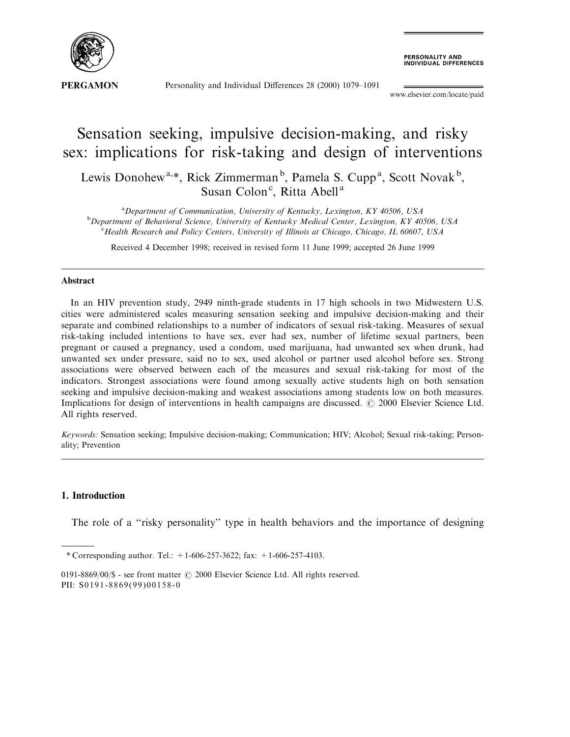

Personality and Individual Differences 28 (2000) 1079-1091

**PERSONALITY AND<br>INDIVIDUAL DIFFERENCES** 

www.elsevier.com/locate/paid

## Sensation seeking, impulsive decision-making, and risky sex: implications for risk-taking and design of interventions

Lewis Donohew<sup>a,\*</sup>, Rick Zimmerman<sup>b</sup>, Pamela S. Cupp<sup>a</sup>, Scott Novak<sup>b</sup>, Susan Colon<sup>c</sup>, Ritta Abell<sup>a</sup>

<sup>a</sup> Department of Communication, University of Kentucky, Lexington, KY 40506, USA<br><sup>b</sup> Department of Behavioral Science, University of Kentucky Medical Center, Lexington, KY 40 <sup>b</sup>Department of Behavioral Science, University of Kentucky Medical Center, Lexington, KY 40506, USA  ${}^{\circ}$ Health Research and Policy Centers, University of Illinois at Chicago, Chicago, IL 60607, USA

Received 4 December 1998; received in revised form 11 June 1999; accepted 26 June 1999

## Abstract

In an HIV prevention study, 2949 ninth-grade students in 17 high schools in two Midwestern U.S. cities were administered scales measuring sensation seeking and impulsive decision-making and their separate and combined relationships to a number of indicators of sexual risk-taking. Measures of sexual risk-taking included intentions to have sex, ever had sex, number of lifetime sexual partners, been pregnant or caused a pregnancy, used a condom, used marijuana, had unwanted sex when drunk, had unwanted sex under pressure, said no to sex, used alcohol or partner used alcohol before sex. Strong associations were observed between each of the measures and sexual risk-taking for most of the indicators. Strongest associations were found among sexually active students high on both sensation seeking and impulsive decision-making and weakest associations among students low on both measures. Implications for design of interventions in health campaigns are discussed.  $\odot$  2000 Elsevier Science Ltd. All rights reserved.

Keywords: Sensation seeking; Impulsive decision-making; Communication; HIV; Alcohol; Sexual risk-taking; Personality; Prevention

## 1. Introduction

The role of a "risky personality" type in health behaviors and the importance of designing

<sup>\*</sup> Corresponding author. Tel.:  $+1-606-257-3622$ ; fax:  $+1-606-257-4103$ .

<sup>0191-8869/00/\$ -</sup> see front matter  $\odot$  2000 Elsevier Science Ltd. All rights reserved. PII: S0191-8869(99)00158-0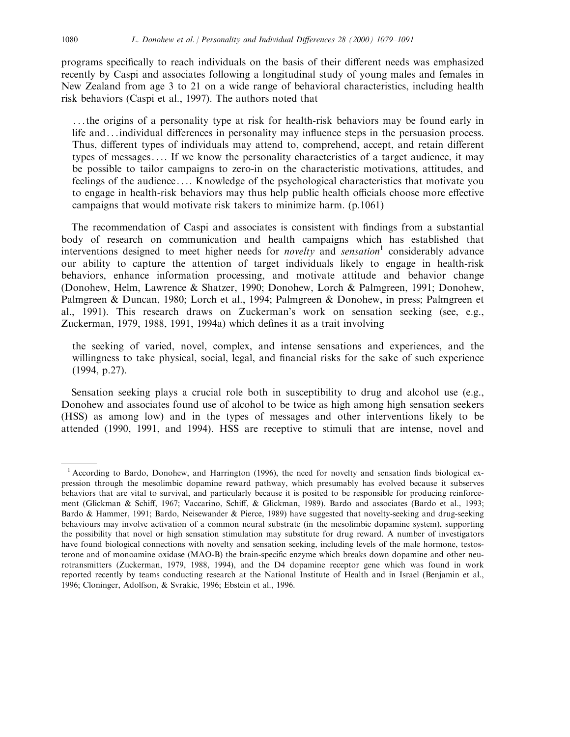programs specifically to reach individuals on the basis of their different needs was emphasized recently by Caspi and associates following a longitudinal study of young males and females in New Zealand from age 3 to 21 on a wide range of behavioral characteristics, including health risk behaviors (Caspi et al., 1997). The authors noted that

...the origins of a personality type at risk for health-risk behaviors may be found early in life and...individual differences in personality may influence steps in the persuasion process. Thus, different types of individuals may attend to, comprehend, accept, and retain different types of messages.... If we know the personality characteristics of a target audience, it may be possible to tailor campaigns to zero-in on the characteristic motivations, attitudes, and feelings of the audience.... Knowledge of the psychological characteristics that motivate you to engage in health-risk behaviors may thus help public health officials choose more effective campaigns that would motivate risk takers to minimize harm. (p.1061)

The recommendation of Caspi and associates is consistent with findings from a substantial body of research on communication and health campaigns which has established that interventions designed to meet higher needs for *novelty* and *sensation*<sup>1</sup> considerably advance our ability to capture the attention of target individuals likely to engage in health-risk behaviors, enhance information processing, and motivate attitude and behavior change (Donohew, Helm, Lawrence & Shatzer, 1990; Donohew, Lorch & Palmgreen, 1991; Donohew, Palmgreen & Duncan, 1980; Lorch et al., 1994; Palmgreen & Donohew, in press; Palmgreen et al., 1991). This research draws on Zuckerman's work on sensation seeking (see, e.g., Zuckerman, 1979, 1988, 1991, 1994a) which defines it as a trait involving

the seeking of varied, novel, complex, and intense sensations and experiences, and the willingness to take physical, social, legal, and financial risks for the sake of such experience (1994, p.27).

Sensation seeking plays a crucial role both in susceptibility to drug and alcohol use (e.g., Donohew and associates found use of alcohol to be twice as high among high sensation seekers (HSS) as among low) and in the types of messages and other interventions likely to be attended (1990, 1991, and 1994). HSS are receptive to stimuli that are intense, novel and

<sup>&</sup>lt;sup>1</sup> According to Bardo, Donohew, and Harrington (1996), the need for novelty and sensation finds biological expression through the mesolimbic dopamine reward pathway, which presumably has evolved because it subserves behaviors that are vital to survival, and particularly because it is posited to be responsible for producing reinforcement (Glickman & Schiff, 1967; Vaccarino, Schiff, & Glickman, 1989). Bardo and associates (Bardo et al., 1993; Bardo & Hammer, 1991; Bardo, Neisewander & Pierce, 1989) have suggested that novelty-seeking and drug-seeking behaviours may involve activation of a common neural substrate (in the mesolimbic dopamine system), supporting the possibility that novel or high sensation stimulation may substitute for drug reward. A number of investigators have found biological connections with novelty and sensation seeking, including levels of the male hormone, testosterone and of monoamine oxidase (MAO-B) the brain-specific enzyme which breaks down dopamine and other neurotransmitters (Zuckerman, 1979, 1988, 1994), and the D4 dopamine receptor gene which was found in work reported recently by teams conducting research at the National Institute of Health and in Israel (Benjamin et al., 1996; Cloninger, Adolfson, & Svrakic, 1996; Ebstein et al., 1996.